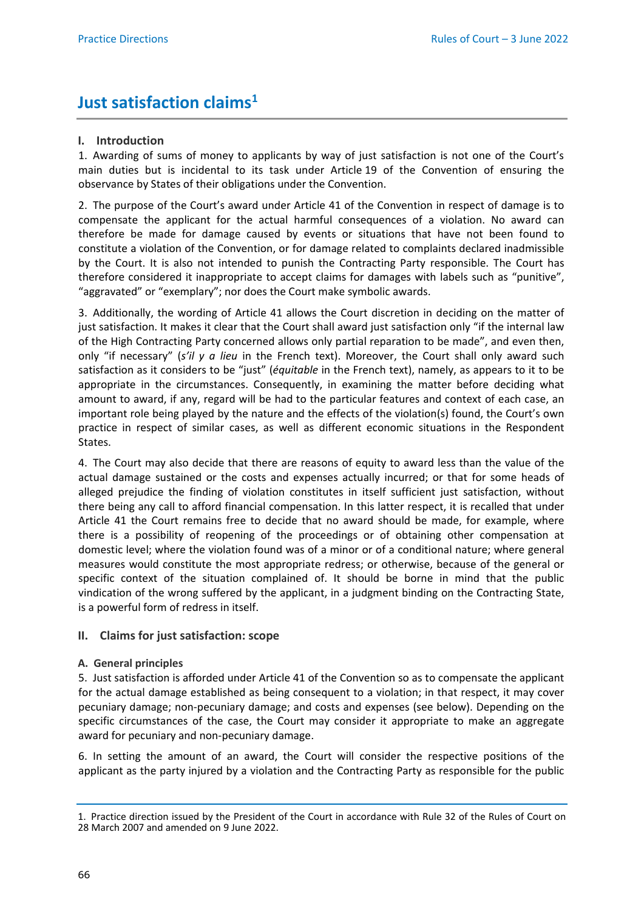# **Just satisfaction claims1**

# **I. Introduction**

1. Awarding of sums of money to applicants by way of just satisfaction is not one of the Court's main duties but is incidental to its task under Article 19 of the Convention of ensuring the observance by States of their obligations under the Convention.

2. The purpose of the Court's award under Article 41 of the Convention in respect of damage is to compensate the applicant for the actual harmful consequences of a violation. No award can therefore be made for damage caused by events or situations that have not been found to constitute a violation of the Convention, or for damage related to complaints declared inadmissible by the Court. It is also not intended to punish the Contracting Party responsible. The Court has therefore considered it inappropriate to accept claims for damages with labels such as "punitive", "aggravated" or "exemplary"; nor does the Court make symbolic awards.

3. Additionally, the wording of Article 41 allows the Court discretion in deciding on the matter of just satisfaction. It makes it clear that the Court shall award just satisfaction only "if the internal law of the High Contracting Party concerned allows only partial reparation to be made", and even then, only "if necessary" (*s'il y a lieu* in the French text). Moreover, the Court shall only award such satisfaction as it considers to be "just" (*équitable* in the French text), namely, as appears to it to be appropriate in the circumstances. Consequently, in examining the matter before deciding what amount to award, if any, regard will be had to the particular features and context of each case, an important role being played by the nature and the effects of the violation(s) found, the Court's own practice in respect of similar cases, as well as different economic situations in the Respondent States.

4. The Court may also decide that there are reasons of equity to award less than the value of the actual damage sustained or the costs and expenses actually incurred; or that for some heads of alleged prejudice the finding of violation constitutes in itself sufficient just satisfaction, without there being any call to afford financial compensation. In this latter respect, it is recalled that under Article 41 the Court remains free to decide that no award should be made, for example, where there is a possibility of reopening of the proceedings or of obtaining other compensation at domestic level; where the violation found was of a minor or of a conditional nature; where general measures would constitute the most appropriate redress; or otherwise, because of the general or specific context of the situation complained of. It should be borne in mind that the public vindication of the wrong suffered by the applicant, in a judgment binding on the Contracting State, is a powerful form of redress in itself.

## **II. Claims for just satisfaction: scope**

## **A. General principles**

5. Just satisfaction is afforded under Article 41 of the Convention so as to compensate the applicant for the actual damage established as being consequent to a violation; in that respect, it may cover pecuniary damage; non-pecuniary damage; and costs and expenses (see below). Depending on the specific circumstances of the case, the Court may consider it appropriate to make an aggregate award for pecuniary and non-pecuniary damage.

6. In setting the amount of an award, the Court will consider the respective positions of the applicant as the party injured by a violation and the Contracting Party as responsible for the public

<sup>1.</sup> Practice direction issued by the President of the Court in accordance with Rule 32 of the Rules of Court on 28 March 2007 and amended on 9 June 2022.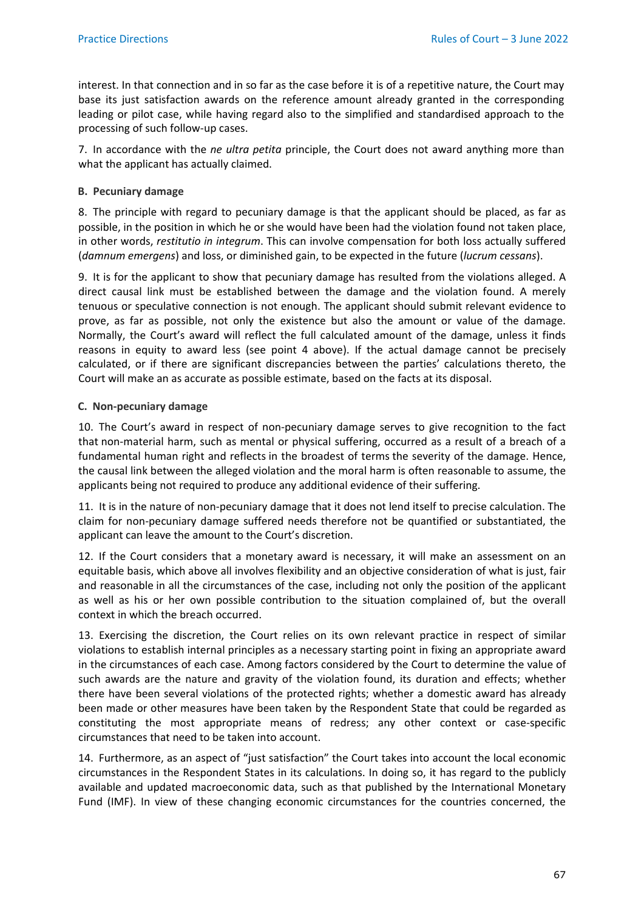interest. In that connection and in so far as the case before it is of a repetitive nature, the Court may base its just satisfaction awards on the reference amount already granted in the corresponding leading or pilot case, while having regard also to the simplified and standardised approach to the processing of such follow-up cases.

7. In accordance with the *ne ultra petita* principle, the Court does not award anything more than what the applicant has actually claimed.

#### **B. Pecuniary damage**

8. The principle with regard to pecuniary damage is that the applicant should be placed, as far as possible, in the position in which he or she would have been had the violation found not taken place, in other words, *restitutio in integrum*. This can involve compensation for both loss actually suffered (*damnum emergens*) and loss, or diminished gain, to be expected in the future (*lucrum cessans*).

9. It is for the applicant to show that pecuniary damage has resulted from the violations alleged. A direct causal link must be established between the damage and the violation found. A merely tenuous or speculative connection is not enough. The applicant should submit relevant evidence to prove, as far as possible, not only the existence but also the amount or value of the damage. Normally, the Court's award will reflect the full calculated amount of the damage, unless it finds reasons in equity to award less (see point 4 above). If the actual damage cannot be precisely calculated, or if there are significant discrepancies between the parties' calculations thereto, the Court will make an as accurate as possible estimate, based on the facts at its disposal.

#### **C. Non-pecuniary damage**

10. The Court's award in respect of non-pecuniary damage serves to give recognition to the fact that non-material harm, such as mental or physical suffering, occurred as a result of a breach of a fundamental human right and reflects in the broadest of terms the severity of the damage. Hence, the causal link between the alleged violation and the moral harm is often reasonable to assume, the applicants being not required to produce any additional evidence of their suffering.

11. It is in the nature of non-pecuniary damage that it does not lend itself to precise calculation. The claim for non-pecuniary damage suffered needs therefore not be quantified or substantiated, the applicant can leave the amount to the Court's discretion.

12. If the Court considers that a monetary award is necessary, it will make an assessment on an equitable basis, which above all involves flexibility and an objective consideration of what is just, fair and reasonable in all the circumstances of the case, including not only the position of the applicant as well as his or her own possible contribution to the situation complained of, but the overall context in which the breach occurred.

13. Exercising the discretion, the Court relies on its own relevant practice in respect of similar violations to establish internal principles as a necessary starting point in fixing an appropriate award in the circumstances of each case. Among factors considered by the Court to determine the value of such awards are the nature and gravity of the violation found, its duration and effects; whether there have been several violations of the protected rights; whether a domestic award has already been made or other measures have been taken by the Respondent State that could be regarded as constituting the most appropriate means of redress; any other context or case-specific circumstances that need to be taken into account.

14. Furthermore, as an aspect of "just satisfaction" the Court takes into account the local economic circumstances in the Respondent States in its calculations. In doing so, it has regard to the publicly available and updated macroeconomic data, such as that published by the International Monetary Fund (IMF). In view of these changing economic circumstances for the countries concerned, the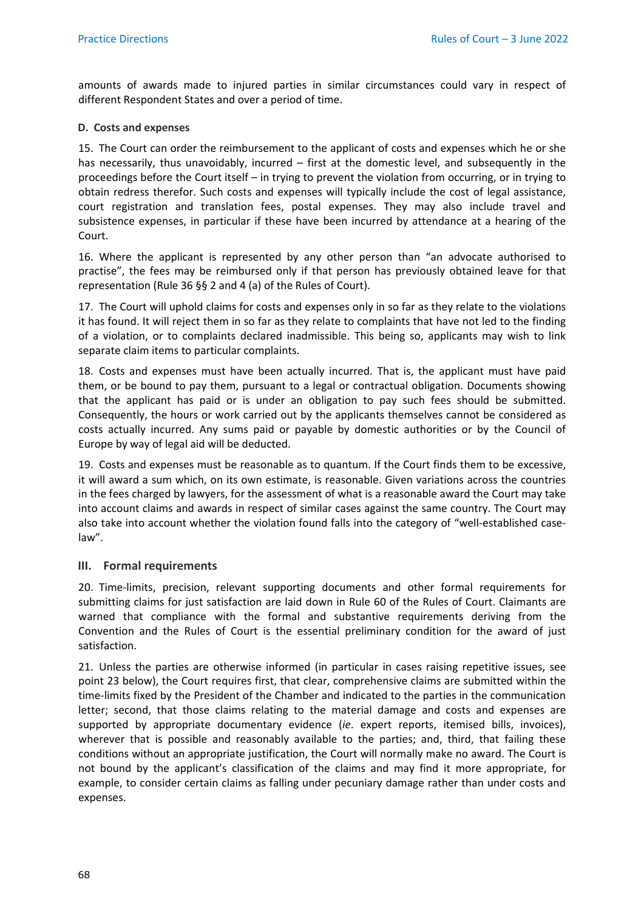amounts of awards made to injured parties in similar circumstances could vary in respect of different Respondent States and over a period of time.

#### **D. Costs and expenses**

15. The Court can order the reimbursement to the applicant of costs and expenses which he or she has necessarily, thus unavoidably, incurred – first at the domestic level, and subsequently in the proceedings before the Court itself – in trying to prevent the violation from occurring, or in trying to obtain redress therefor. Such costs and expenses will typically include the cost of legal assistance, court registration and translation fees, postal expenses. They may also include travel and subsistence expenses, in particular if these have been incurred by attendance at a hearing of the Court.

16. Where the applicant is represented by any other person than "an advocate authorised to practise", the fees may be reimbursed only if that person has previously obtained leave for that representation (Rule 36 §§ 2 and 4 (a) of the Rules of Court).

17. The Court will uphold claims for costs and expenses only in so far as they relate to the violations it has found. It will reject them in so far as they relate to complaints that have not led to the finding of a violation, or to complaints declared inadmissible. This being so, applicants may wish to link separate claim items to particular complaints.

18. Costs and expenses must have been actually incurred. That is, the applicant must have paid them, or be bound to pay them, pursuant to a legal or contractual obligation. Documents showing that the applicant has paid or is under an obligation to pay such fees should be submitted. Consequently, the hours or work carried out by the applicants themselves cannot be considered as costs actually incurred. Any sums paid or payable by domestic authorities or by the Council of Europe by way of legal aid will be deducted.

19. Costs and expenses must be reasonable as to quantum. If the Court finds them to be excessive, it will award a sum which, on its own estimate, is reasonable. Given variations across the countries in the fees charged by lawyers, for the assessment of what is a reasonable award the Court may take into account claims and awards in respect of similar cases against the same country. The Court may also take into account whether the violation found falls into the category of "well-established caselaw".

## **III. Formal requirements**

20. Time-limits, precision, relevant supporting documents and other formal requirements for submitting claims for just satisfaction are laid down in Rule 60 of the Rules of Court. Claimants are warned that compliance with the formal and substantive requirements deriving from the Convention and the Rules of Court is the essential preliminary condition for the award of just satisfaction.

21. Unless the parties are otherwise informed (in particular in cases raising repetitive issues, see point 23 below), the Court requires first, that clear, comprehensive claims are submitted within the time-limits fixed by the President of the Chamber and indicated to the parties in the communication letter; second, that those claims relating to the material damage and costs and expenses are supported by appropriate documentary evidence (*ie*. expert reports, itemised bills, invoices), wherever that is possible and reasonably available to the parties; and, third, that failing these conditions without an appropriate justification, the Court will normally make no award. The Court is not bound by the applicant's classification of the claims and may find it more appropriate, for example, to consider certain claims as falling under pecuniary damage rather than under costs and expenses.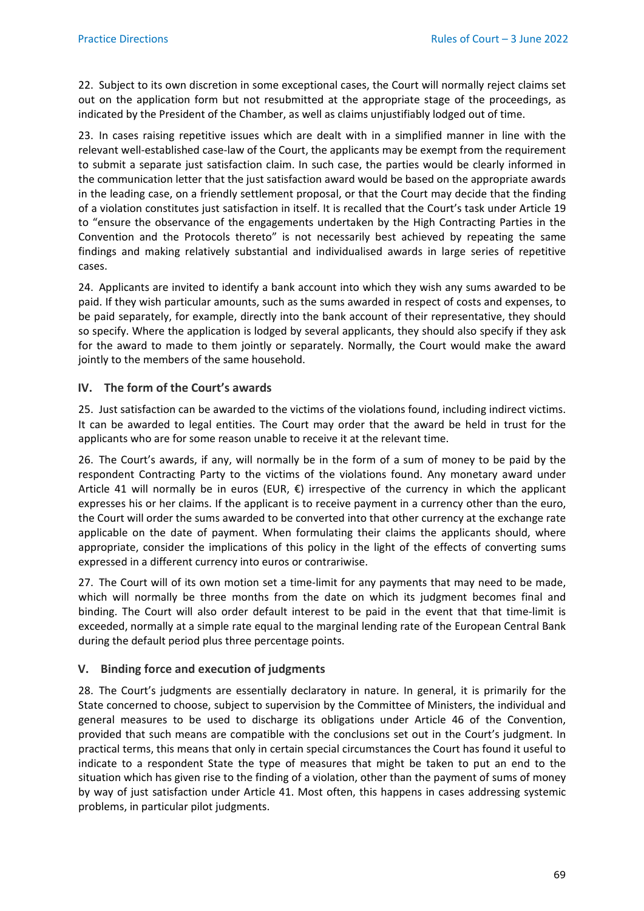22. Subject to its own discretion in some exceptional cases, the Court will normally reject claims set out on the application form but not resubmitted at the appropriate stage of the proceedings, as indicated by the President of the Chamber, as well as claims unjustifiably lodged out of time.

23. In cases raising repetitive issues which are dealt with in a simplified manner in line with the relevant well-established case-law of the Court, the applicants may be exempt from the requirement to submit a separate just satisfaction claim. In such case, the parties would be clearly informed in the communication letter that the just satisfaction award would be based on the appropriate awards in the leading case, on a friendly settlement proposal, or that the Court may decide that the finding of a violation constitutes just satisfaction in itself. It is recalled that the Court's task under Article 19 to "ensure the observance of the engagements undertaken by the High Contracting Parties in the Convention and the Protocols thereto" is not necessarily best achieved by repeating the same findings and making relatively substantial and individualised awards in large series of repetitive cases.

24. Applicants are invited to identify a bank account into which they wish any sums awarded to be paid. If they wish particular amounts, such as the sums awarded in respect of costs and expenses, to be paid separately, for example, directly into the bank account of their representative, they should so specify. Where the application is lodged by several applicants, they should also specify if they ask for the award to made to them jointly or separately. Normally, the Court would make the award jointly to the members of the same household.

# **IV. The form of the Court's awards**

25. Just satisfaction can be awarded to the victims of the violations found, including indirect victims. It can be awarded to legal entities. The Court may order that the award be held in trust for the applicants who are for some reason unable to receive it at the relevant time.

26. The Court's awards, if any, will normally be in the form of a sum of money to be paid by the respondent Contracting Party to the victims of the violations found. Any monetary award under Article 41 will normally be in euros (EUR,  $\epsilon$ ) irrespective of the currency in which the applicant expresses his or her claims. If the applicant is to receive payment in a currency other than the euro, the Court will order the sums awarded to be converted into that other currency at the exchange rate applicable on the date of payment. When formulating their claims the applicants should, where appropriate, consider the implications of this policy in the light of the effects of converting sums expressed in a different currency into euros or contrariwise.

27. The Court will of its own motion set a time-limit for any payments that may need to be made, which will normally be three months from the date on which its judgment becomes final and binding. The Court will also order default interest to be paid in the event that that time-limit is exceeded, normally at a simple rate equal to the marginal lending rate of the European Central Bank during the default period plus three percentage points.

# **V. Binding force and execution of judgments**

28. The Court's judgments are essentially declaratory in nature. In general, it is primarily for the State concerned to choose, subject to supervision by the Committee of Ministers, the individual and general measures to be used to discharge its obligations under Article 46 of the Convention, provided that such means are compatible with the conclusions set out in the Court's judgment. In practical terms, this means that only in certain special circumstances the Court has found it useful to indicate to a respondent State the type of measures that might be taken to put an end to the situation which has given rise to the finding of a violation, other than the payment of sums of money by way of just satisfaction under Article 41. Most often, this happens in cases addressing systemic problems, in particular pilot judgments.